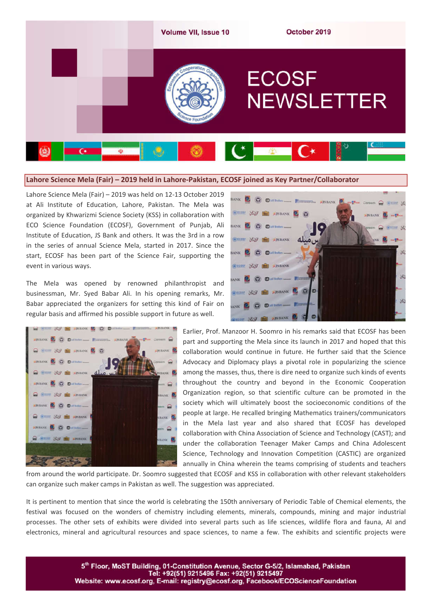

### **Lahore Science Mela (Fair) – 2019 held in Lahore-Pakistan, ECOSF joined as Key Partner/Collaborator**

Lahore Science Mela (Fair) – 2019 was held on 12-13 October 2019 at Ali Institute of Education, Lahore, Pakistan. The Mela was organized by Khwarizmi Science Society (KSS) in collaboration with ECO Science Foundation (ECOSF), Government of Punjab, Ali Institute of Education, JS Bank and others. It was the 3rd in a row in the series of annual Science Mela, started in 2017. Since the start, ECOSF has been part of the Science Fair, supporting the event in various ways.

The Mela was opened by renowned philanthropist and businessman, Mr. Syed Babar Ali. In his opening remarks, Mr. Babar appreciated the organizers for setting this kind of Fair on regular basis and affirmed his possible support in future as well.





Earlier, Prof. Manzoor H. Soomro in his remarks said that ECOSF has been part and supporting the Mela since its launch in 2017 and hoped that this collaboration would continue in future. He further said that the Science Advocacy and Diplomacy plays a pivotal role in popularizing the science among the masses, thus, there is dire need to organize such kinds of events throughout the country and beyond in the Economic Cooperation Organization region, so that scientific culture can be promoted in the society which will ultimately boost the socioeconomic conditions of the people at large. He recalled bringing Mathematics trainers/communicators in the Mela last year and also shared that ECOSF has developed collaboration with China Association of Science and Technology (CAST); and under the collaboration Teenager Maker Camps and China Adolescent Science, Technology and Innovation Competition (CASTIC) are organized annually in China wherein the teams comprising of students and teachers

from around the world participate. Dr. Soomro suggested that ECOSF and KSS in collaboration with other relevant stakeholders can organize such maker camps in Pakistan as well. The suggestion was appreciated.

It is pertinent to mention that since the world is celebrating the 150th anniversary of Periodic Table of Chemical elements, the festival was focused on the wonders of chemistry including elements, minerals, compounds, mining and major industrial processes. The other sets of exhibits were divided into several parts such as life sciences, wildlife flora and fauna, AI and electronics, mineral and agricultural resources and space sciences, to name a few. The exhibits and scientific projects were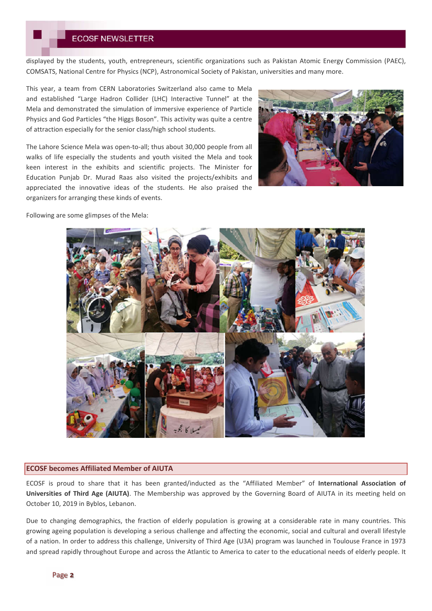displayed by the students, youth, entrepreneurs, scientific organizations such as Pakistan Atomic Energy Commission (PAEC), COMSATS, National Centre for Physics (NCP), Astronomical Society of Pakistan, universities and many more.

This year, a team from CERN Laboratories Switzerland also came to Mela and established "Large Hadron Collider (LHC) Interactive Tunnel" at the Mela and demonstrated the simulation of immersive experience of Particle Physics and God Particles "the Higgs Boson". This activity was quite a centre of attraction especially for the senior class/high school students.

The Lahore Science Mela was open-to-all; thus about 30,000 people from all walks of life especially the students and youth visited the Mela and took keen interest in the exhibits and scientific projects. The Minister for Education Punjab Dr. Murad Raas also visited the projects/exhibits and appreciated the innovative ideas of the students. He also praised the organizers for arranging these kinds of events.



Following are some glimpses of the Mela:



#### **ECOSF becomes Affiliated Member of AIUTA**

ECOSF is proud to share that it has been granted/inducted as the "Affiliated Member" of **International Association of Universities of Third Age (AIUTA)**. The Membership was approved by the Governing Board of AIUTA in its meeting held on October 10, 2019 in Byblos, Lebanon.

Due to changing demographics, the fraction of elderly population is growing at a considerable rate in many countries. This growing ageing population is developing a serious challenge and affecting the economic, social and cultural and overall lifestyle of a nation. In order to address this challenge, University of Third Age (U3A) program was launched in Toulouse France in 1973 and spread rapidly throughout Europe and across the Atlantic to America to cater to the educational needs of elderly people. It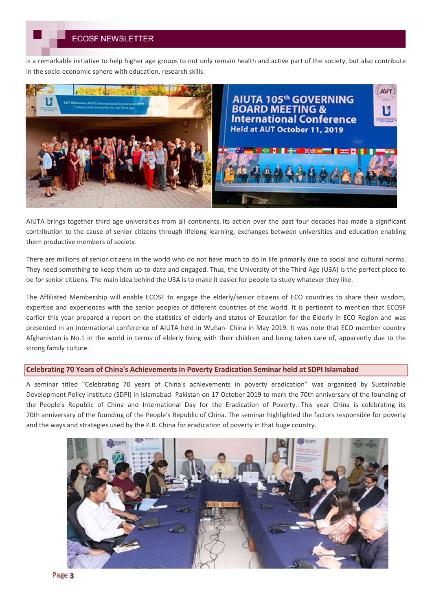# **ECOSF NEWSLETTER**

is a remarkable initiative to help higher age groups to not only remain health and active part of the society, but also contribute in the socio-economic sphere with education, research skills.



AIUTA brings together third age universities from all continents. Its action over the past four decades has made a significant contribution to the cause of senior citizens through lifelong learning, exchanges between universities and education enabling them productive members of society.

There are millions of senior citizens in the world who do not have much to do in life primarily due to social and cultural norms. They need something to keep them up-to-date and engaged. Thus, the University of the Third Age (U3A) is the perfect place to be for senior citizens. The main idea behind the U3A is to make it easier for people to study whatever they like.

The Affiliated Membership will enable ECOSF to engage the elderly/senior citizens of ECO countries to share their wisdom, expertise and experiences with the senior peoples of different countries of the world. It is pertinent to mention that ECOSF earlier this year prepared a report on the statistics of elderly and status of Education for the Elderly in ECO Region and was presented in an international conference of AIUTA held in Wuhan- China in May 2019. It was note that ECO member country Afghanistan is No.1 in the world in terms of elderly living with their children and being taken care of, apparently due to the strong family culture.

## **Celebrating 70 Years of China's Achievements in Poverty Eradication Seminar held at SDPI Islamabad**

A seminar titled "Celebrating 70 years of China's achievements in poverty eradication" was organized by Sustainable Development Policy Institute (SDPI) in Islamabad- Pakistan on 17 October 2019 to mark the 70th anniversary of the founding of the People's Republic of China and International Day for the Eradication of Poverty. This year China is celebrating its 70th anniversary of the founding of the People's Republic of China. The seminar highlighted the factors responsible for poverty and the ways and strategies used by the P.R. China for eradication of poverty in that huge country.



Page 3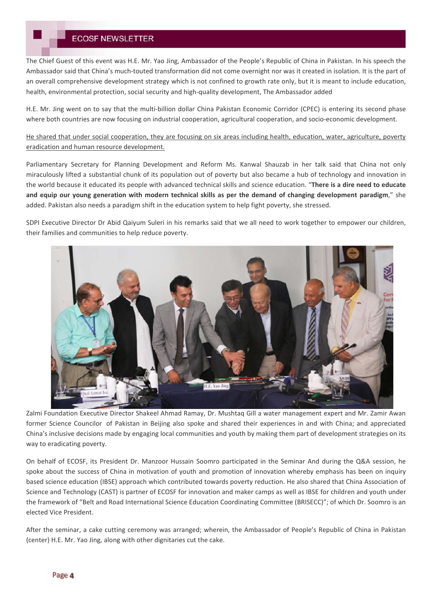# **ECOSF NEWSLETTER**

The Chief Guest of this event was H.E. Mr. Yao Jing, Ambassador of the People's Republic of China in Pakistan. In his speech the Ambassador said that China's much-touted transformation did not come overnight nor was it created in isolation. It is the part of an overall comprehensive development strategy which is not confined to growth rate only, but it is meant to include education, health, environmental protection, social security and high-quality development, The Ambassador added

H.E. Mr. Jing went on to say that the multi-billion dollar China Pakistan Economic Corridor (CPEC) is entering its second phase where both countries are now focusing on industrial cooperation, agricultural cooperation, and socio-economic development.

He shared that under social cooperation, they are focusing on six areas including health, education, water, agriculture, poverty eradication and human resource development.

Parliamentary Secretary for Planning Development and Reform Ms. Kanwal Shauzab in her talk said that China not only miraculously lifted a substantial chunk of its population out of poverty but also became a hub of technology and innovation in the world because it educated its people with advanced technical skills and science education. "**There is a dire need to educate and equip our young generation with modern technical skills as per the demand of changing development paradigm**," she added. Pakistan also needs a paradigm shift in the education system to help fight poverty, she stressed.

SDPI Executive Director Dr Abid Qaiyum Suleri in his remarks said that we all need to work together to empower our children, their families and communities to help reduce poverty.



Zalmi Foundation Executive Director Shakeel Ahmad Ramay, Dr. Mushtaq Gill a water management expert and Mr. Zamir Awan former Science Councilor of Pakistan in Beijing also spoke and shared their experiences in and with China; and appreciated China's inclusive decisions made by engaging local communities and youth by making them part of development strategies on its way to eradicating poverty.

On behalf of ECOSF, its President Dr. Manzoor Hussain Soomro participated in the Seminar And during the Q&A session, he spoke about the success of China in motivation of youth and promotion of innovation whereby emphasis has been on inquiry based science education (IBSE) approach which contributed towards poverty reduction. He also shared that China Association of Science and Technology (CAST) is partner of ECOSF for innovation and maker camps as well as IBSE for children and youth under the framework of "Belt and Road International Science Education Coordinating Committee (BRISECC)"; of which Dr. Soomro is an elected Vice President.

After the seminar, a cake cutting ceremony was arranged; wherein, the Ambassador of People's Republic of China in Pakistan (center) H.E. Mr. Yao Jing, along with other dignitaries cut the cake.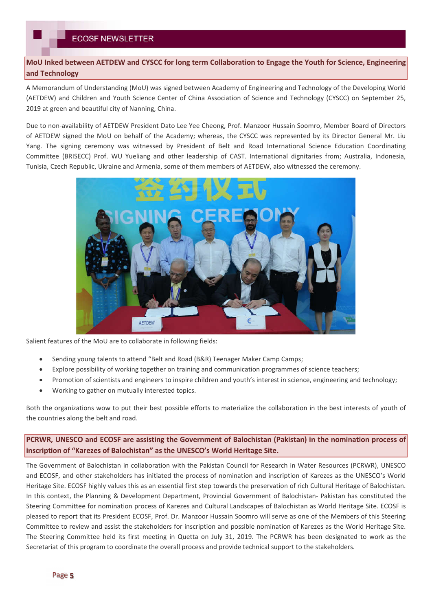**MoU Inked between AETDEW and CYSCC for long term Collaboration to Engage the Youth for Science, Engineering and Technology**

A Memorandum of Understanding (MoU) was signed between Academy of Engineering and Technology of the Developing World (AETDEW) and Children and Youth Science Center of China Association of Science and Technology (CYSCC) on September 25, 2019 at green and beautiful city of Nanning, China.

Due to non-availability of AETDEW President Dato Lee Yee Cheong, Prof. Manzoor Hussain Soomro, Member Board of Directors of AETDEW signed the MoU on behalf of the Academy; whereas, the CYSCC was represented by its Director General Mr. Liu Yang. The signing ceremony was witnessed by President of Belt and Road International Science Education Coordinating Committee (BRISECC) Prof. WU Yueliang and other leadership of CAST. International dignitaries from; Australia, Indonesia, Tunisia, Czech Republic, Ukraine and Armenia, some of them members of AETDEW, also witnessed the ceremony.



Salient features of the MoU are to collaborate in following fields:

- Sending young talents to attend "Belt and Road (B&R) Teenager Maker Camp Camps;
- Explore possibility of working together on training and communication programmes of science teachers;
- Promotion of scientists and engineers to inspire children and youth's interest in science, engineering and technology;
- Working to gather on mutually interested topics.

Both the organizations wow to put their best possible efforts to materialize the collaboration in the best interests of youth of the countries along the belt and road.

**PCRWR, UNESCO and ECOSF are assisting the Government of Balochistan (Pakistan) in the nomination process of inscription of "Karezes of Balochistan" as the UNESCO's World Heritage Site.** 

The Government of Balochistan in collaboration with the Pakistan Council for Research in Water Resources (PCRWR), UNESCO and ECOSF, and other stakeholders has initiated the process of nomination and inscription of Karezes as the UNESCO's World Heritage Site. ECOSF highly values this as an essential first step towards the preservation of rich Cultural Heritage of Balochistan. In this context, the Planning & Development Department, Provincial Government of Balochistan- Pakistan has constituted the Steering Committee for nomination process of Karezes and Cultural Landscapes of Balochistan as World Heritage Site. ECOSF is pleased to report that its President ECOSF, Prof. Dr. Manzoor Hussain Soomro will serve as one of the Members of this Steering Committee to review and assist the stakeholders for inscription and possible nomination of Karezes as the World Heritage Site. The Steering Committee held its first meeting in Quetta on July 31, 2019. The PCRWR has been designated to work as the Secretariat of this program to coordinate the overall process and provide technical support to the stakeholders.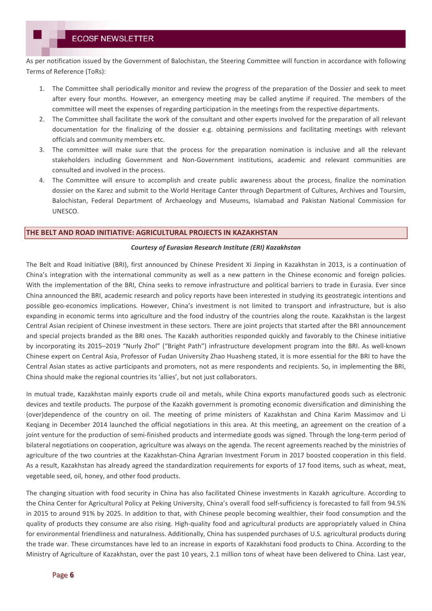As per notification issued by the Government of Balochistan, the Steering Committee will function in accordance with following Terms of Reference (ToRs):

- 1. The Committee shall periodically monitor and review the progress of the preparation of the Dossier and seek to meet after every four months. However, an emergency meeting may be called anytime if required. The members of the committee will meet the expenses of regarding participation in the meetings from the respective departments.
- 2. The Committee shall facilitate the work of the consultant and other experts involved for the preparation of all relevant documentation for the finalizing of the dossier e.g. obtaining permissions and facilitating meetings with relevant officials and community members etc.
- 3. The committee will make sure that the process for the preparation nomination is inclusive and all the relevant stakeholders including Government and Non-Government institutions, academic and relevant communities are consulted and involved in the process.
- 4. The Committee will ensure to accomplish and create public awareness about the process, finalize the nomination dossier on the Karez and submit to the World Heritage Canter through Department of Cultures, Archives and Toursim, Balochistan, Federal Department of Archaeology and Museums, Islamabad and Pakistan National Commission for UNESCO.

### **THE BELT AND ROAD INITIATIVE: AGRICULTURAL PROJECTS IN KAZAKHSTAN**

#### *Courtesy of Eurasian Research Institute (ERI) Kazakhstan*

The Belt and Road Initiative (BRI), first announced by Chinese President Xi Jinping in Kazakhstan in 2013, is a continuation of China's integration with the international community as well as a new pattern in the Chinese economic and foreign policies. With the implementation of the BRI, China seeks to remove infrastructure and political barriers to trade in Eurasia. Ever since China announced the BRI, academic research and policy reports have been interested in studying its geostrategic intentions and possible geo-economics implications. However, China's investment is not limited to transport and infrastructure, but is also expanding in economic terms into agriculture and the food industry of the countries along the route. Kazakhstan is the largest Central Asian recipient of Chinese investment in these sectors. There are joint projects that started after the BRI announcement and special projects branded as the BRI ones. The Kazakh authorities responded quickly and favorably to the Chinese initiative by incorporating its 2015–2019 "Nurly Zhol" ("Bright Path") infrastructure development program into the BRI. As well-known Chinese expert on Central Asia, Professor of Fudan University Zhao Huasheng stated, it is more essential for the BRI to have the Central Asian states as active participants and promoters, not as mere respondents and recipients. So, in implementing the BRI, China should make the regional countries its 'allies', but not just collaborators.

In mutual trade, Kazakhstan mainly exports crude oil and metals, while China exports manufactured goods such as electronic devices and textile products. The purpose of the Kazakh government is promoting economic diversification and diminishing the (over)dependence of the country on oil. The meeting of prime ministers of Kazakhstan and China Karim Massimov and Li Keqiang in December 2014 launched the official negotiations in this area. At this meeting, an agreement on the creation of a joint venture for the production of semi-finished products and intermediate goods was signed. Through the long-term period of bilateral negotiations on cooperation, agriculture was always on the agenda. The recent agreements reached by the ministries of agriculture of the two countries at the Kazakhstan-China Agrarian Investment Forum in 2017 boosted cooperation in this field. As a result, Kazakhstan has already agreed the standardization requirements for exports of 17 food items, such as wheat, meat, vegetable seed, oil, honey, and other food products.

The changing situation with food security in China has also facilitated Chinese investments in Kazakh agriculture. According to the China Center for Agricultural Policy at Peking University, China's overall food self-sufficiency is forecasted to fall from 94.5% in 2015 to around 91% by 2025. In addition to that, with Chinese people becoming wealthier, their food consumption and the quality of products they consume are also rising. High-quality food and agricultural products are appropriately valued in China for environmental friendliness and naturalness. Additionally, China has suspended purchases of U.S. agricultural products during the trade war. These circumstances have led to an increase in exports of Kazakhstani food products to China. According to the Ministry of Agriculture of Kazakhstan, over the past 10 years, 2.1 million tons of wheat have been delivered to China. Last year,